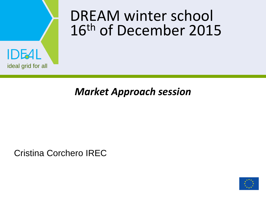#### DREAM winter school 16th of December 2015



#### *Market Approach session*

Cristina Corchero IREC

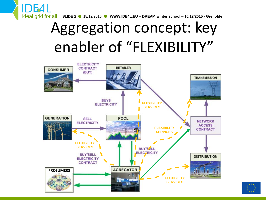

# Aggregation concept: key enabler of "FLEXIBILITY"



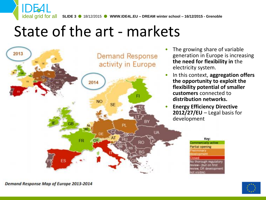

#### State of the art - markets



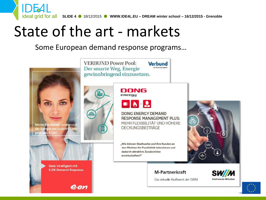ideal grid for all **SLIDE 4** 18/12/2015 **WWW.IDE4L.EU – DREAM winter school – 16/12/2015 - Grenoble**

#### State of the art - markets

**IDEAL** 

#### Some European demand response programs…

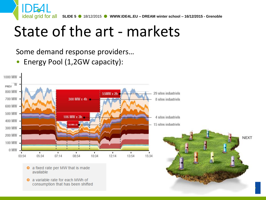ideal grid for all **SLIDE 5** 18/12/2015 **WWW.IDE4L.EU – DREAM winter school – 16/12/2015 - Grenoble**

## State of the art - markets

Some demand response providers…

• Energy Pool (1,2GW capacity):

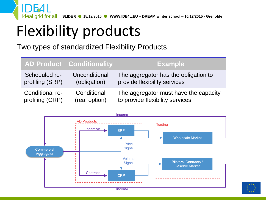ideal grid for all **SLIDE 6** 18/12/2015 **WWW.IDE4L.EU – DREAM winter school – 16/12/2015 - Grenoble**

# Flexibility products

Two types of standardized Flexibility Products

|                 | <b>AD Product Conditionality</b> | <b>Example</b>                        |
|-----------------|----------------------------------|---------------------------------------|
| Scheduled re-   | Unconditional                    | The aggregator has the obligation to  |
| profiling (SRP) | (obligation)                     | provide flexibility services          |
| Conditional re- | Conditional                      | The aggregator must have the capacity |
| profiling (CRP) | (real option)                    | to provide flexibility services       |



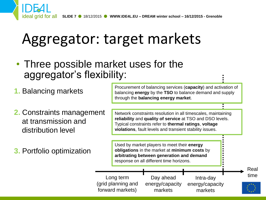

## Aggregator: target markets

• Three possible market uses for the aggregator's flexibility:

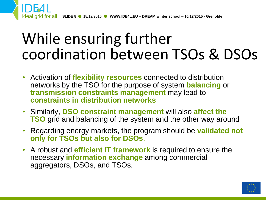

### While ensuring further coordination between TSOs & DSOs

- Activation of **flexibility resources** connected to distribution networks by the TSO for the purpose of system **balancing** or **transmission constraints management** may lead to **constraints in distribution networks**
- Similarly, **DSO constraint management** will also **affect the TSO** grid and balancing of the system and the other way around
- Regarding energy markets, the program should be **validated not only for TSOs but also for DSOs**.
- A robust and **efficient IT framework** is required to ensure the necessary **information exchange** among commercial aggregators, DSOs, and TSOs.

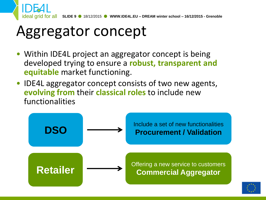

### Aggregator concept

- Within IDE4L project an aggregator concept is being developed trying to ensure a **robust, transparent and equitable** market functioning.
- IDE4L aggregator concept consists of two new agents, **evolving from** their **classical roles** to include new functionalities



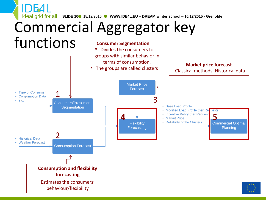ideal grid for all **SLIDE 10** 18/12/2015 **WWW.IDE4L.EU – DREAM winter school – 16/12/2015 - Grenoble**

# Commercial Aggregator key

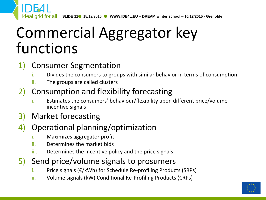### Commercial Aggregator key functions

#### 1) Consumer Segmentation

- i. Divides the consumers to groups with similar behavior in terms of consumption.
- ii. The groups are called clusters

#### 2) Consumption and flexibility forecasting

- i. Estimates the consumers' behaviour/flexibility upon different price/volume incentive signals
- 3) Market forecasting

#### 4) Operational planning/optimization

- i. Maximizes aggregator profit
- ii. Determines the market bids
- iii. Determines the incentive policy and the price signals

#### 5) Send price/volume signals to prosumers

- i. Price signals  $(E/KWh)$  for Schedule Re-profiling Products (SRPs)
- ii. Volume signals (kW) Conditional Re-Profiling Products (CRPs)